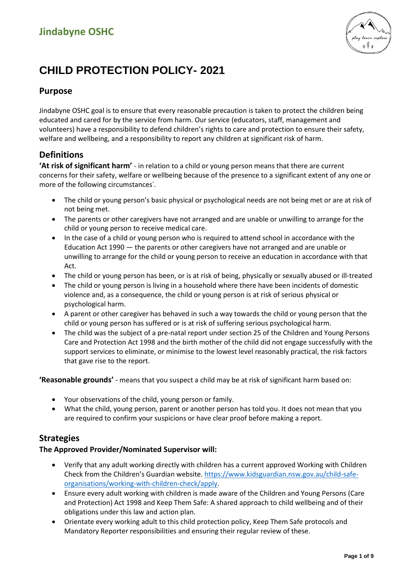

# **CHILD PROTECTION POLICY- 2021**

## **Purpose**

Jindabyne OSHC goal is to ensure that every reasonable precaution is taken to protect the children being educated and cared for by the service from harm. Our service (educators, staff, management and volunteers) have a responsibility to defend children's rights to care and protection to ensure their safety, welfare and wellbeing, and a responsibility to report any children at significant risk of harm.

## **Definitions**

**'At risk of significant harm'** - in relation to a child or young person means that there are current concerns for their safety, welfare or wellbeing because of the presence to a significant extent of any one or more of the following circumstances<sup>1</sup>.

- The child or young person's basic physical or psychological needs are not being met or are at risk of not being met.
- The parents or other caregivers have not arranged and are unable or unwilling to arrange for the child or young person to receive medical care.
- In the case of a child or young person who is required to attend school in accordance with the Education Act 1990 — the parents or other caregivers have not arranged and are unable or unwilling to arrange for the child or young person to receive an education in accordance with that Act.
- The child or young person has been, or is at risk of being, physically or sexually abused or ill-treated
- The child or young person is living in a household where there have been incidents of domestic violence and, as a consequence, the child or young person is at risk of serious physical or psychological harm.
- A parent or other caregiver has behaved in such a way towards the child or young person that the child or young person has suffered or is at risk of suffering serious psychological harm.
- The child was the subject of a pre-natal report under section 25 of the Children and Young Persons Care and Protection Act 1998 and the birth mother of the child did not engage successfully with the support services to eliminate, or minimise to the lowest level reasonably practical, the risk factors that gave rise to the report.

**'Reasonable grounds'** - means that you suspect a child may be at risk of significant harm based on:

- Your observations of the child, young person or family.
- What the child, young person, parent or another person has told you. It does not mean that you are required to confirm your suspicions or have clear proof before making a report.

### **Strategies**

#### **The Approved Provider/Nominated Supervisor will:**

- Verify that any adult working directly with children has a current approved Working with Children Check from the Children's Guardian website. [https://www.kidsguardian.nsw.gov.au/child-safe](https://www.kidsguardian.nsw.gov.au/child-safe-organisations/working-with-children-check/apply)[organisations/working-with-children-check/apply.](https://www.kidsguardian.nsw.gov.au/child-safe-organisations/working-with-children-check/apply)
- Ensure every adult working with children is made aware of the Children and Young Persons (Care and Protection) Act 1998 and Keep Them Safe: A shared approach to child wellbeing and of their obligations under this law and action plan.
- Orientate every working adult to this child protection policy, Keep Them Safe protocols and Mandatory Reporter responsibilities and ensuring their regular review of these.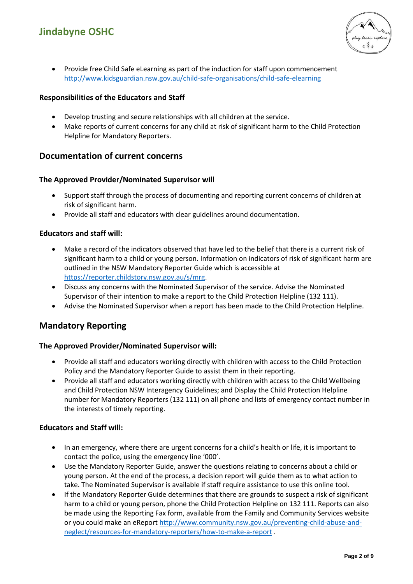

• Provide free Child Safe eLearning as part of the induction for staff upon commencement <http://www.kidsguardian.nsw.gov.au/child-safe-organisations/child-safe-elearning>

#### **Responsibilities of the Educators and Staff**

- Develop trusting and secure relationships with all children at the service.
- Make reports of current concerns for any child at risk of significant harm to the Child Protection Helpline for Mandatory Reporters.

### **Documentation of current concerns**

#### **The Approved Provider/Nominated Supervisor will**

- Support staff through the process of documenting and reporting current concerns of children at risk of significant harm.
- Provide all staff and educators with clear guidelines around documentation.

#### **Educators and staff will:**

- Make a record of the indicators observed that have led to the belief that there is a current risk of significant harm to a child or young person. Information on indicators of risk of significant harm are outlined in the NSW Mandatory Reporter Guide which is accessible at [https://reporter.childstory.nsw.gov.au/s/mrg.](https://reporter.childstory.nsw.gov.au/s/mrg)
- Discuss any concerns with the Nominated Supervisor of the service. Advise the Nominated Supervisor of their intention to make a report to the Child Protection Helpline (132 111).
- Advise the Nominated Supervisor when a report has been made to the Child Protection Helpline.

### **Mandatory Reporting**

#### **The Approved Provider/Nominated Supervisor will:**

- Provide all staff and educators working directly with children with access to the Child Protection Policy and the Mandatory Reporter Guide to assist them in their reporting.
- Provide all staff and educators working directly with children with access to the Child Wellbeing and Child Protection NSW Interagency Guidelines; and Display the Child Protection Helpline number for Mandatory Reporters (132 111) on all phone and lists of emergency contact number in the interests of timely reporting.

#### **Educators and Staff will:**

- In an emergency, where there are urgent concerns for a child's health or life, it is important to contact the police, using the emergency line '000'.
- Use the Mandatory Reporter Guide, answer the questions relating to concerns about a child or young person. At the end of the process, a decision report will guide them as to what action to take. The Nominated Supervisor is available if staff require assistance to use this online tool.
- If the Mandatory Reporter Guide determines that there are grounds to suspect a risk of significant harm to a child or young person, phone the Child Protection Helpline on 132 111. Reports can also be made using the Reporting Fax form, available from the Family and Community Services website or you could make an eReport [http://www.community.nsw.gov.au/preventing-child-abuse-and](http://www.community.nsw.gov.au/preventing-child-abuse-and-neglect/resources-for-mandatory-reporters/how-to-make-a-report)[neglect/resources-for-mandatory-reporters/how-to-make-a-report](http://www.community.nsw.gov.au/preventing-child-abuse-and-neglect/resources-for-mandatory-reporters/how-to-make-a-report) .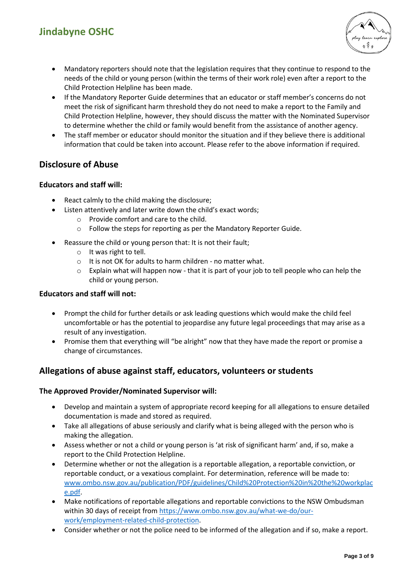

- Mandatory reporters should note that the legislation requires that they continue to respond to the needs of the child or young person (within the terms of their work role) even after a report to the Child Protection Helpline has been made.
- If the Mandatory Reporter Guide determines that an educator or staff member's concerns do not meet the risk of significant harm threshold they do not need to make a report to the Family and Child Protection Helpline, however, they should discuss the matter with the Nominated Supervisor to determine whether the child or family would benefit from the assistance of another agency.
- The staff member or educator should monitor the situation and if they believe there is additional information that could be taken into account. Please refer to the above information if required.

## **Disclosure of Abuse**

#### **Educators and staff will:**

- React calmly to the child making the disclosure;
- Listen attentively and later write down the child's exact words;
	- o Provide comfort and care to the child.
	- o Follow the steps for reporting as per the Mandatory Reporter Guide.
- Reassure the child or young person that: It is not their fault;
	- o It was right to tell.
	- o It is not OK for adults to harm children no matter what.
	- $\circ$  Explain what will happen now that it is part of your job to tell people who can help the child or young person.

#### **Educators and staff will not:**

- Prompt the child for further details or ask leading questions which would make the child feel uncomfortable or has the potential to jeopardise any future legal proceedings that may arise as a result of any investigation.
- Promise them that everything will "be alright" now that they have made the report or promise a change of circumstances.

## **Allegations of abuse against staff, educators, volunteers or students**

#### **The Approved Provider/Nominated Supervisor will:**

- Develop and maintain a system of appropriate record keeping for all allegations to ensure detailed documentation is made and stored as required.
- Take all allegations of abuse seriously and clarify what is being alleged with the person who is making the allegation.
- Assess whether or not a child or young person is 'at risk of significant harm' and, if so, make a report to the Child Protection Helpline.
- Determine whether or not the allegation is a reportable allegation, a reportable conviction, or reportable conduct, or a vexatious complaint. For determination, reference will be made to: [www.ombo.nsw.gov.au/publication/PDF/guidelines/Child%20Protection%20in%20the%20workplac](http://www.ombo.nsw.gov.au/publication/PDF/guidelines/Child%20Protection%20in%20the%20workplace.pdf) [e.pdf.](http://www.ombo.nsw.gov.au/publication/PDF/guidelines/Child%20Protection%20in%20the%20workplace.pdf)
- Make notifications of reportable allegations and reportable convictions to the NSW Ombudsman within 30 days of receipt fro[m https://www.ombo.nsw.gov.au/what-we-do/our](https://www.ombo.nsw.gov.au/what-we-do/our-work/employment-related-child-protection)[work/employment-related-child-protection.](https://www.ombo.nsw.gov.au/what-we-do/our-work/employment-related-child-protection)
- Consider whether or not the police need to be informed of the allegation and if so, make a report.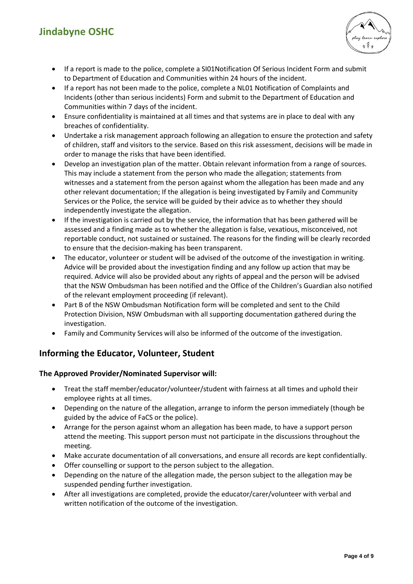## **Jindabyne OSHC**



- If a report is made to the police, complete a SI01Notification Of Serious Incident Form and submit to Department of Education and Communities within 24 hours of the incident.
- If a report has not been made to the police, complete a NL01 Notification of Complaints and Incidents (other than serious incidents) Form and submit to the Department of Education and Communities within 7 days of the incident.
- Ensure confidentiality is maintained at all times and that systems are in place to deal with any breaches of confidentiality.
- Undertake a risk management approach following an allegation to ensure the protection and safety of children, staff and visitors to the service. Based on this risk assessment, decisions will be made in order to manage the risks that have been identified.
- Develop an investigation plan of the matter. Obtain relevant information from a range of sources. This may include a statement from the person who made the allegation; statements from witnesses and a statement from the person against whom the allegation has been made and any other relevant documentation; If the allegation is being investigated by Family and Community Services or the Police, the service will be guided by their advice as to whether they should independently investigate the allegation.
- If the investigation is carried out by the service, the information that has been gathered will be assessed and a finding made as to whether the allegation is false, vexatious, misconceived, not reportable conduct, not sustained or sustained. The reasons for the finding will be clearly recorded to ensure that the decision-making has been transparent.
- The educator, volunteer or student will be advised of the outcome of the investigation in writing. Advice will be provided about the investigation finding and any follow up action that may be required. Advice will also be provided about any rights of appeal and the person will be advised that the NSW Ombudsman has been notified and the Office of the Children's Guardian also notified of the relevant employment proceeding (if relevant).
- Part B of the NSW Ombudsman Notification form will be completed and sent to the Child Protection Division, NSW Ombudsman with all supporting documentation gathered during the investigation.
- Family and Community Services will also be informed of the outcome of the investigation.

## **Informing the Educator, Volunteer, Student**

#### **The Approved Provider/Nominated Supervisor will:**

- Treat the staff member/educator/volunteer/student with fairness at all times and uphold their employee rights at all times.
- Depending on the nature of the allegation, arrange to inform the person immediately (though be guided by the advice of FaCS or the police).
- Arrange for the person against whom an allegation has been made, to have a support person attend the meeting. This support person must not participate in the discussions throughout the meeting.
- Make accurate documentation of all conversations, and ensure all records are kept confidentially.
- Offer counselling or support to the person subject to the allegation.
- Depending on the nature of the allegation made, the person subject to the allegation may be suspended pending further investigation.
- After all investigations are completed, provide the educator/carer/volunteer with verbal and written notification of the outcome of the investigation.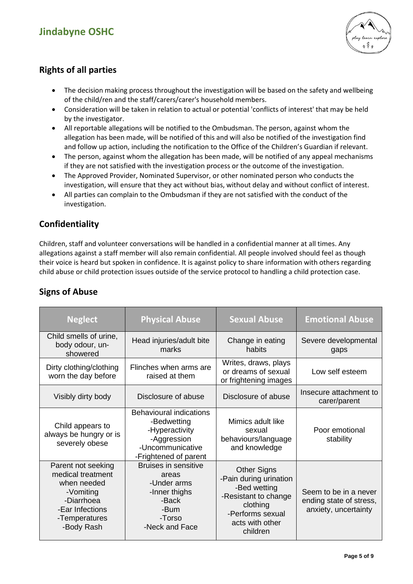## **Jindabyne OSHC**



## **Rights of all parties**

- The decision making process throughout the investigation will be based on the safety and wellbeing of the child/ren and the staff/carers/carer's household members.
- Consideration will be taken in relation to actual or potential 'conflicts of interest' that may be held by the investigator.
- All reportable allegations will be notified to the Ombudsman. The person, against whom the allegation has been made, will be notified of this and will also be notified of the investigation find and follow up action, including the notification to the Office of the Children's Guardian if relevant.
- The person, against whom the allegation has been made, will be notified of any appeal mechanisms if they are not satisfied with the investigation process or the outcome of the investigation.
- The Approved Provider, Nominated Supervisor, or other nominated person who conducts the investigation, will ensure that they act without bias, without delay and without conflict of interest.
- All parties can complain to the Ombudsman if they are not satisfied with the conduct of the investigation.

## **Confidentiality**

Children, staff and volunteer conversations will be handled in a confidential manner at all times. Any allegations against a staff member will also remain confidential. All people involved should feel as though their voice is heard but spoken in confidence. It is against policy to share information with others regarding child abuse or child protection issues outside of the service protocol to handling a child protection case.

| <b>Neglect</b>                                                                                                                      | <b>Physical Abuse</b>                                                                                                       | <b>Sexual Abuse</b>                                                                                                                                 | <b>Emotional Abuse</b>                                                   |
|-------------------------------------------------------------------------------------------------------------------------------------|-----------------------------------------------------------------------------------------------------------------------------|-----------------------------------------------------------------------------------------------------------------------------------------------------|--------------------------------------------------------------------------|
| Child smells of urine,<br>body odour, un-<br>showered                                                                               | Head injuries/adult bite<br>marks                                                                                           | Change in eating<br>habits                                                                                                                          | Severe developmental<br>gaps                                             |
| Dirty clothing/clothing<br>worn the day before                                                                                      | Flinches when arms are<br>raised at them                                                                                    | Writes, draws, plays<br>or dreams of sexual<br>or frightening images                                                                                | Low self esteem                                                          |
| Visibly dirty body                                                                                                                  | Disclosure of abuse                                                                                                         | Disclosure of abuse                                                                                                                                 | Insecure attachment to<br>carer/parent                                   |
| Child appears to<br>always be hungry or is<br>severely obese                                                                        | <b>Behavioural indications</b><br>-Bedwetting<br>-Hyperactivity<br>-Aggression<br>-Uncommunicative<br>-Frightened of parent | Mimics adult like<br>sexual<br>behaviours/language<br>and knowledge                                                                                 | Poor emotional<br>stability                                              |
| Parent not seeking<br>medical treatment<br>when needed<br>-Vomiting<br>-Diarrhoea<br>-Ear Infections<br>-Temperatures<br>-Body Rash | <b>Bruises in sensitive</b><br>areas<br>-Under arms<br>-Inner thighs<br>-Back<br>-Bum<br>-Torso<br>-Neck and Face           | <b>Other Signs</b><br>-Pain during urination<br>-Bed wetting<br>-Resistant to change<br>clothing<br>-Performs sexual<br>acts with other<br>children | Seem to be in a never<br>ending state of stress,<br>anxiety, uncertainty |

## **Signs of Abuse**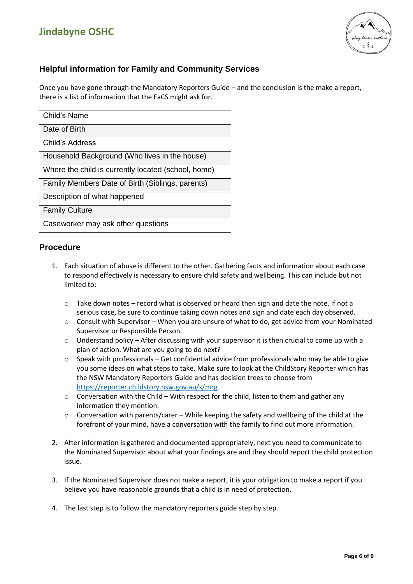

## **Helpful information for Family and Community Services**

Once you have gone through the Mandatory Reporters Guide – and the conclusion is the make a report, there is a list of information that the FaCS might ask for.

| Child's Name                                        |
|-----------------------------------------------------|
| Date of Birth                                       |
| Child's Address                                     |
| Household Background (Who lives in the house)       |
| Where the child is currently located (school, home) |
| Family Members Date of Birth (Siblings, parents)    |
| Description of what happened                        |
| <b>Family Culture</b>                               |
| Caseworker may ask other questions                  |

### **Procedure**

- 1. Each situation of abuse is different to the other. Gathering facts and information about each case to respond effectively is necessary to ensure child safety and wellbeing. This can include but not limited to:
	- $\circ$  Take down notes record what is observed or heard then sign and date the note. If not a serious case, be sure to continue taking down notes and sign and date each day observed.
	- o Consult with Supervisor When you are unsure of what to do, get advice from your Nominated Supervisor or Responsible Person.
	- $\circ$  Understand policy After discussing with your supervisor it is then crucial to come up with a plan of action. What are you going to do next?
	- o Speak with professionals Get confidential advice from professionals who may be able to give you some ideas on what steps to take. Make sure to look at the ChildStory Reporter which has the NSW Mandatory Reporters Guide and has decision trees to choose from <https://reporter.childstory.nsw.gov.au/s/mrg>
	- $\circ$  Conversation with the Child With respect for the child, listen to them and gather any information they mention.
	- o Conversation with parents/carer While keeping the safety and wellbeing of the child at the forefront of your mind, have a conversation with the family to find out more information.
- 2. After information is gathered and documented appropriately, next you need to communicate to the Nominated Supervisor about what your findings are and they should report the child protection issue.
- 3. If the Nominated Supervisor does not make a report, it is your obligation to make a report if you believe you have reasonable grounds that a child is in need of protection.
- 4. The last step is to follow the mandatory reporters guide step by step.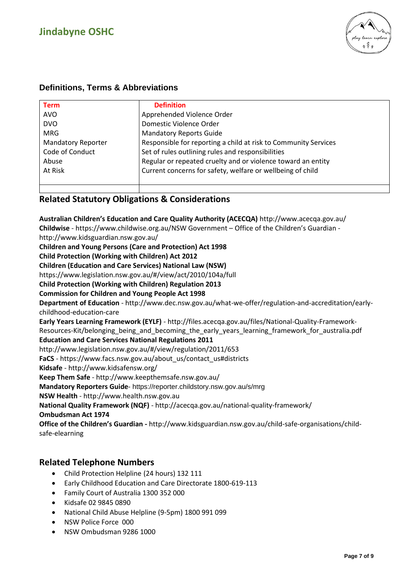

## **Definitions, Terms & Abbreviations**

| <b>Term</b>               | <b>Definition</b>                                               |
|---------------------------|-----------------------------------------------------------------|
| <b>AVO</b>                | Apprehended Violence Order                                      |
| <b>DVO</b>                | Domestic Violence Order                                         |
| <b>MRG</b>                | <b>Mandatory Reports Guide</b>                                  |
| <b>Mandatory Reporter</b> | Responsible for reporting a child at risk to Community Services |
| Code of Conduct           | Set of rules outlining rules and responsibilities               |
| Abuse                     | Regular or repeated cruelty and or violence toward an entity    |
| At Risk                   | Current concerns for safety, welfare or wellbeing of child      |
|                           |                                                                 |
|                           |                                                                 |

### **Related Statutory Obligations & Considerations**

**Australian Children's Education and Care Quality Authority (ACECQA)** http://www.acecqa.gov.au/ **Childwise** - https://www.childwise.org.au/NSW Government – Office of the Children's Guardian http://www.kidsguardian.nsw.gov.au/ **Children and Young Persons (Care and Protection) Act 1998 Child Protection (Working with Children) Act 2012 Children (Education and Care Services) National Law (NSW)** https://www.legislation.nsw.gov.au/#/view/act/2010/104a/full **Child Protection (Working with Children) Regulation 2013 Commission for Children and Young People Act 1998 Department of Education** - http://www.dec.nsw.gov.au/what-we-offer/regulation-and-accreditation/earlychildhood-education-care **Early Years Learning Framework (EYLF)** - http://files.acecqa.gov.au/files/National-Quality-Framework-Resources-Kit/belonging\_being\_and\_becoming\_the\_early\_years\_learning\_framework\_for\_australia.pdf **Education and Care Services National Regulations 2011**  http://www.legislation.nsw.gov.au/#/view/regulation/2011/653 **FaCS** - https://www.facs.nsw.gov.au/about\_us/contact\_us#districts **Kidsafe** - http://www.kidsafensw.org/ **Keep Them Safe** - http://www.keepthemsafe.nsw.gov.au/ **Mandatory Reporters Guide**- https://reporter.childstory.nsw.gov.au/s/mrg **NSW Health** - http://www.health.nsw.gov.au **National Quality Framework (NQF)** - http://acecqa.gov.au/national-quality-framework/ **Ombudsman Act 1974 Office of the Children's Guardian -** http://www.kidsguardian.nsw.gov.au/child-safe-organisations/childsafe-elearning

### **Related Telephone Numbers**

- Child Protection Helpline (24 hours) 132 111
- Early Childhood Education and Care Directorate 1800-619-113
- Family Court of Australia 1300 352 000
- Kidsafe 02 9845 0890
- National Child Abuse Helpline (9-5pm) 1800 991 099
- NSW Police Force 000
- NSW Ombudsman 9286 1000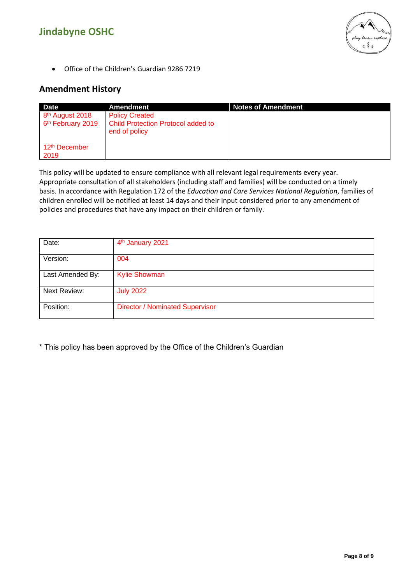

• Office of the Children's Guardian 9286 7219

## **Amendment History**

| <b>Date</b>                                                  | Amendment                                                                    | <b>Notes of Amendment</b> |
|--------------------------------------------------------------|------------------------------------------------------------------------------|---------------------------|
| 8 <sup>th</sup> August 2018<br>6 <sup>th</sup> February 2019 | <b>Policy Created</b><br>Child Protection Protocol added to<br>end of policy |                           |
| 12 <sup>th</sup> December<br>2019                            |                                                                              |                           |

This policy will be updated to ensure compliance with all relevant legal requirements every year. Appropriate consultation of all stakeholders (including staff and families) will be conducted on a timely basis. In accordance with Regulation 172 of the *Education and Care Services National Regulation*, families of children enrolled will be notified at least 14 days and their input considered prior to any amendment of policies and procedures that have any impact on their children or family.

| Date:               | 4 <sup>th</sup> January 2021           |
|---------------------|----------------------------------------|
| Version:            | 004                                    |
| Last Amended By:    | <b>Kylie Showman</b>                   |
| <b>Next Review:</b> | <b>July 2022</b>                       |
| Position:           | <b>Director / Nominated Supervisor</b> |

\* This policy has been approved by the Office of the Children's Guardian